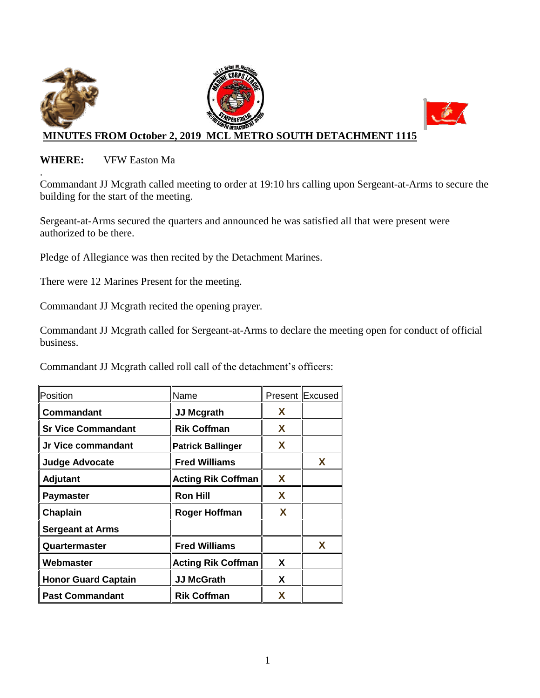

### **WHERE:** VFW Easton Ma

. Commandant JJ Mcgrath called meeting to order at 19:10 hrs calling upon Sergeant-at-Arms to secure the building for the start of the meeting.

Sergeant-at-Arms secured the quarters and announced he was satisfied all that were present were authorized to be there.

Pledge of Allegiance was then recited by the Detachment Marines.

There were 12 Marines Present for the meeting.

Commandant JJ Mcgrath recited the opening prayer.

Commandant JJ Mcgrath called for Sergeant-at-Arms to declare the meeting open for conduct of official business.

Commandant JJ Mcgrath called roll call of the detachment's officers:

| Position                   | Name                      |   | Present Excused |
|----------------------------|---------------------------|---|-----------------|
| Commandant                 | <b>JJ Mcgrath</b>         | X |                 |
| <b>Sr Vice Commandant</b>  | <b>Rik Coffman</b>        | X |                 |
| Jr Vice commandant         | <b>Patrick Ballinger</b>  | X |                 |
| <b>Judge Advocate</b>      | <b>Fred Williams</b>      |   | X               |
| <b>Adjutant</b>            | <b>Acting Rik Coffman</b> | X |                 |
| <b>Paymaster</b>           | <b>Ron Hill</b>           | X |                 |
| Chaplain                   | <b>Roger Hoffman</b>      | X |                 |
| <b>Sergeant at Arms</b>    |                           |   |                 |
| Quartermaster              | <b>Fred Williams</b>      |   | X               |
| Webmaster                  | <b>Acting Rik Coffman</b> | X |                 |
| <b>Honor Guard Captain</b> | <b>JJ McGrath</b>         | X |                 |
| <b>Past Commandant</b>     | <b>Rik Coffman</b>        | X |                 |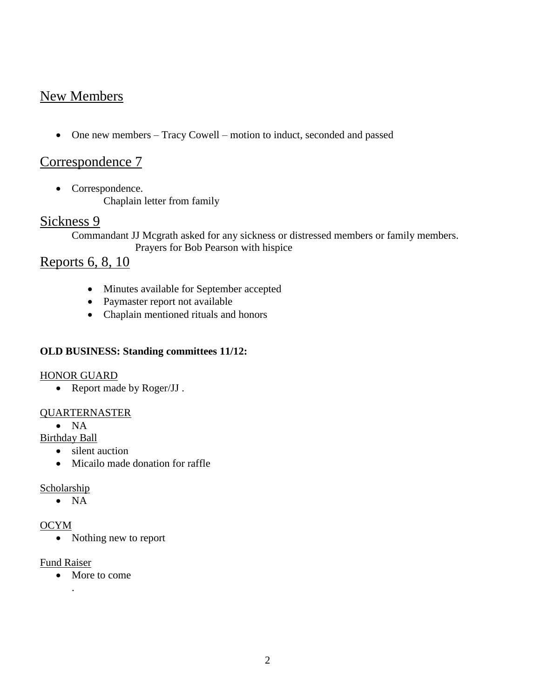# New Members

One new members – Tracy Cowell – motion to induct, seconded and passed

## Correspondence 7

• Correspondence. Chaplain letter from family

## Sickness 9

Commandant JJ Mcgrath asked for any sickness or distressed members or family members. Prayers for Bob Pearson with hispice

# Reports 6, 8, 10

- Minutes available for September accepted
- Paymaster report not available
- Chaplain mentioned rituals and honors

### **OLD BUSINESS: Standing committees 11/12:**

#### HONOR GUARD

• Report made by Roger/JJ.

#### QUARTERNASTER

 $\bullet$  NA

Birthday Ball

- silent auction
- Micailo made donation for raffle

#### **Scholarship**

 $\bullet$  NA

#### OCYM

• Nothing new to report

#### Fund Raiser

.

• More to come